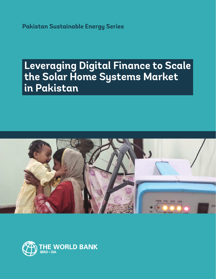**Pakistan Sustainable Energy Series**

# **Leveraging Digital Finance to Scale the Solar Home Systems Market in Pakistan**



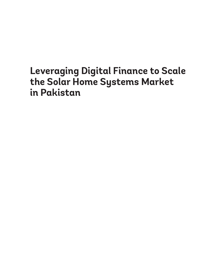# **Leveraging Digital Finance to Scale the Solar Home Systems Market in Pakistan**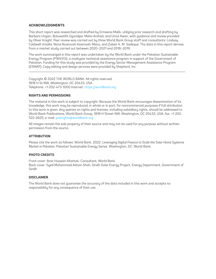#### **ACKNOWLEDGMENTS**

This short report was researched and drafted by Ermeena Malik, utilizing prior research and drafting by Barbara Ungari, Boluwatife Ogundipe, Maha Arshad, and Umul Awan, with guidance and review provided by Oliver Knight. Peer review was carried out by three World Bank Group staff and consultants: Lindsay Caldwell Umalla, Nana Nuamoah Asamoah-Manu, and Zubair K. M. Sadeque. The data in this report derives from a market study carried out between 2020–2021 and 2018–2019.

The work summarized in this report was undertaken by the World Bank under the Pakistan Sustainable Energy Program (P169313), a multiyear technical assistance program in support of the Government of Pakistan. Funding for this study was provided by the Energy Sector Management Assistance Program (ESMAP). Copy editing and design services were provided by Shepherd, Inc.

Copyright © 2022 THE WORLD BANK. All rights reserved. 1818 H St NW, Washington, DC 20433, USA Telephone: +1-202-473-1000 Internet: https://worldbank.org

#### **RIGHTS AND PERMISSIONS**

The material in this work is subject to copyright. Because the World Bank encourages dissemination of its knowledge, this work may be reproduced, in whole or in part, for noncommercial purposes if full attribution to this work is given. Any queries on rights and licenses, including subsidiary rights, should be addressed to World Bank Publications, World Bank Group, 1818 H Street NW, Washington, DC 20433, USA; fax: +1-202- 522-2625; e-mail: pubrights@worldbank.org.

All images remain the sole property of their source and may not be used for any purpose without written permission from the source.

#### **ATTRIBUTION**

Please cite the work as follows: World Bank. 2022. *Leveraging Digital Finance to Scale the Solar Home Systems Market in Pakistan.* Pakistan Sustainable Energy Series. Washington, DC: World Bank.

#### **PHOTO CREDITS**

Front cover: Ibrar Hussain Khattak, Consultant, World Bank Back cover: Syed Muhammad Adnan Shah, Sindh Solar Energy Project, Energy Department, Government of **Sindh** 

#### **DISCLAIMER**

The World Bank does not guarantee the accuracy of the data included in this work and accepts no responsibility for any consequence of their use.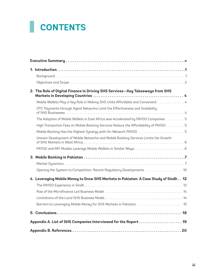# **CONTENTS**

|                                                                  | 2. The Role of Digital Finance in Driving SHS Services-Key Takeaways from SHS        |
|------------------------------------------------------------------|--------------------------------------------------------------------------------------|
|                                                                  | Mobile Wallets Play a Key Role in Making SHS Units Affordable and Convenient  4      |
|                                                                  | OTC Payments through Agent Networks Limit the Effectiveness and Scalability          |
|                                                                  | The Adoption of Mobile Wallets in East Africa was Accelerated by PAYGO Companies 5   |
|                                                                  | High Transaction Fees on Mobile Banking Services Reduce the Affordability of PAYGO 5 |
|                                                                  | Mobile Banking Has the Highest Synergy with On-Network PAYGO 5                       |
|                                                                  | Uneven Development of Mobile Networks and Mobile Banking Services Limits the Growth  |
|                                                                  |                                                                                      |
|                                                                  |                                                                                      |
|                                                                  |                                                                                      |
|                                                                  | Opening the System to Competition: Recent Regulatory Developments  10                |
|                                                                  | 4. Leveraging Mobile Money to Grow SHS Markets in Pakistan: A Case Study of Sindh 12 |
|                                                                  |                                                                                      |
|                                                                  |                                                                                      |
|                                                                  |                                                                                      |
|                                                                  | Barriers to Leveraging Mobile Money for SHS Markets in Pakistan  15                  |
|                                                                  |                                                                                      |
| Appendix A. List of SHS Companies Interviewed for the Report  19 |                                                                                      |
|                                                                  |                                                                                      |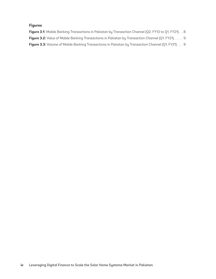#### **Figures**

Figure 3.1: Mobile Banking Transactions in Pakistan by Transaction Channel (Q2, FY13 to Q1, FY21). . . 8 Figure 3.2: Value of Mobile Banking Transactions in Pakistan by Transaction Channel (Q1, FY21). . . . . . 9 Figure 3.3: Volume of Mobile Banking Transactions in Pakistan by Transaction Channel (Q1, FY21).... 9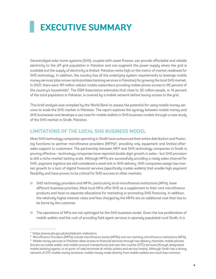# <span id="page-6-0"></span>**EXECUTIVE SUMMARY**

Decentralized solar home systems (SHS), coupled with asset finance, can provide affordable and reliable electricity to the off-grid population in Pakistan and can augment the power supply where the grid is available but the supply of electricity is limited. Pakistan ranks high on the metric of market readiness for SHS technology. In addition, the country has all the underlying system requirements to leverage mobile money services (also known as branchless banking services in Pakistan) for growing the local SHS market. In 2021, there were 191 million cellular mobile subscribers providing mobile phone access to 95 percent of the country's households<sup>1</sup>. The GSM Association estimates that close to 30 million people, or 14 percent of the total population in Pakistan, is covered by a mobile network before having access to the grid.

This brief analysis was compiled by the World Bank to assess the potential for using mobile money services to scale the SHS market in Pakistan. The report explores the synergy between mobile money and SHS businesses and develops a use case for mobile wallets in SHS business models through a case study of the SHS market in Sindh, Pakistan.

# **LIMITATIONS OF THE LOCAL SHS BUSINESS MODEL**

Most SHS technology companies operating in Sindh have outsourced their entire distribution and financing functions to partner microfinance providers (MFPs)<sup>2</sup>, providing only equipment and limited aftersales support to customers. The partnership between MFP and SHS technology companies in Sindh is proving effective—technology companies have reported double digit growth in sales—but SHS provision is still a niche market lacking scale. Although MFPs are successfully providing a ready sales channel for SHS, payment logistics are still considered a weak link in SHS delivery. SHS companies assign low market growth to a lack of digital financial services (specifically mobile wallets) that enable high payment flexibility and have proven to be critical for SHS success in other markets:

- SHS technology providers and MFPs, particularly local microfinance institutions (MFIs), have different business priorities. Most local MFIs offer SHS as a supplement to their core microfinance products and have no separate allocations for marketing or promoting SHS financing. In addition, the relatively higher interest rates and fees charged by the MFPs are an additional cost that has to be borne by the customer.
- The operations of MFIs are not optimized for the SHS business model. Given the low proliferation of mobile wallets and the cost of providing field agent services in sparsely populated rural Sindh, it is

<sup>1</sup> https://www.pta.gov.pk/en/telecom-indicators.

<sup>2</sup> Microfinance Providers (MFPs) include microfinance banks (MFBs) and non-banking microfinance institutions (MFIs).

<sup>&</sup>lt;sup>3</sup> Mobile money services in Pakistan allow access to financial services through two delivery channels; mobile phones (known as mobile wallet, and mobile account transactions) and over-the-counter (OTC) services (through designated mobile banking agents, or at point-of-sale terminals at retails outlets and service kiosks). Although Sindh has a strong network of OTC mobile money locations, mobile money made directly from mobile wallets are much less common.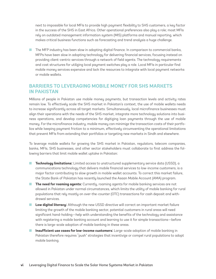next to impossible for local MFIs to provide high payment flexibility to SHS customers, a key factor in the success of the SHS in East Africa. Other operational preferences also play a role; most MFIs rely on outdated management information system (MIS) platforms and manual reporting, which makes critical business functions such as forecasting and trend analysis a huge challenge.

■ The MFP industry has been slow in adopting digital finance. In comparison to commercial banks, MFPs have been slow in adopting technology for delivering financial services, focusing instead on providing client-centric services through a network of field agents. The technology requirements and cost structures for utilizing local payment switches play a role. Local MFIs in particular find mobile money services expensive and lack the resources to integrate with local payment networks or mobile wallets.

## **BARRIERS TO LEVERAGING MOBILE MONEY FOR SHS MARKETS IN PAKISTAN**

Millions of people in Pakistan use mobile money payments, but transaction levels and activity rates remain low. To effectively scale the SHS market in Pakistan's context, the use of mobile wallets needs to increase significantly across all target markets. Simultaneously, local microfinance businesses must align their operations with the needs of the SHS market, integrate more technology solutions into business operations, and develop competencies for digitizing loan payments through the use of mobile money. For the microfinance industry, mobile money can minimize the transaction costs of their portfolios while keeping payment friction to a minimum, effectively circumventing the operational limitations that prevent MFIs from extending their portfolios or targeting new markets in Sindh and elsewhere.

To leverage mobile wallets for growing the SHS market in Pakistan, regulators, telecom companies, banks, MFIs, SHS businesses, and other sector stakeholders must collaborate to first address the following barriers that limit mobile wallet uptake in Pakistan:

- **Technology limitations:** Limited access to unstructured supplementary service data (USSD), a communications technology that delivers mobile financial services to low-income customers, is a major factor contributing to slow growth in mobile wallet accounts. To correct this market failure, the State Bank of Pakistan has recently launched the Asaan Mobile Account (AMA) program.
- **The need for roaming agents:** Currently, roaming agents for mobile banking services are not allowed in Pakistan under normal circumstances, which limits the utility of mobile banking for rural populations that rely mostly on over-the-counter (OTC) transactions for cash deposit and withdrawal services.
- Low digital literacy: Although the new USSD directive will correct an important market failure limiting the growth of the mobile banking sector, potential customers in rural areas will need significant hand-holding—help with understanding the benefits of the technology and assistance with registering a mobile banking account and learning to use it for simple transactions—before there is large-scale adoption of mobile banking in these areas.
- **Insufficient use cases for low-income customers:** Large-scale adoption of mobile banking in Pakistan therefore requires "push" strategies that incentivize or compel rural populations to adopt mobile banking.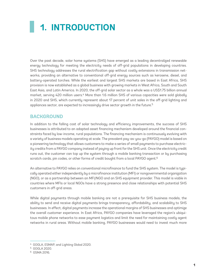# <span id="page-8-0"></span>**1. INTRODUCTION**

Over the past decade, solar home systems (SHS) have emerged as a leading decentralized renewable energy technology for meeting the electricity needs of off-grid populations in developing countries. SHS technology addresses the rural electrification gap without costly extensions in transmission networks, providing an alternative to conventional off-grid energy sources such as kerosene, diesel, and battery-operated torches. While the earliest and largest SHS markets are based in East Africa, SHS provision is now established as a global business with growing markets in West Africa, South and South East Asia, and Latin America. In 2020, the off-grid solar sector as a whole was a US\$1.75 billion annual market, serving 420 million users.<sup>4</sup> More than 1.6 million SHS of various capacities were sold globally in 2020 and SHS, which currently represent about 17 percent of unit sales in the off-grid lighting and appliances sector, are expected to increasingly drive sector growth in the future.<sup>5</sup>

# **BACKGROUND**

In addition to the falling cost of solar technology and efficiency improvements, the success of SHS businesses is attributed to an adapted asset financing mechanism developed around the financial constraints faced by low-income, rural populations. The financing mechanism is continuously evolving with a variety of business models operating at scale. The prevalent pay-as-you-go (PAYGO) model is based on a pioneering technology that allows customers to make a series of small payments to purchase electricity credits from a PAYGO company instead of paying up front for the SHS unit. Once the electricity credit runs out, the customer can top up the system through a mobile banking transaction or by purchasing scratch cards, pin codes, or other forms of credit bought from a local PAYGO agent.<sup>6</sup>

An alternative to PAYGO relies on conventional microfinance to fund the SHS system. The model is typically operated either independently by a microfinance institution (MFI) or nongovernmental organization (NGO), or as a partnership between an MFI/NGO and an SHS equipment provider. This model is viable in countries where MFIs or local NGOs have a strong presence and close relationships with potential SHS customers in off-grid areas.

While digital payments through mobile banking are not a prerequisite for SHS business models, the ability to send and receive digital payments brings transparency, affordability, and scalability to SHS businesses. In effect, digital payments increase the operational margins of SHS businesses and optimize the overall customer experience. In East Africa, PAYGO companies have leveraged the region's ubiquitous mobile phone networks to ease payment logistics and limit the need for maintaining costly agent networks in rural areas. Without mobile banking, PAYGO businesses would need to invest much more

<sup>4</sup> GOGLA, ESMAP, and Lighting Global 2020.

<sup>5</sup> GOGLA 2020.

<sup>6</sup> GSMA 2016.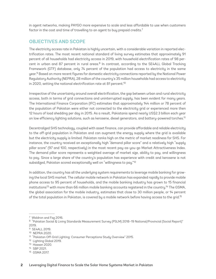<span id="page-9-0"></span>in agent networks, making PAYGO more expensive to scale and less affordable to use when customers factor in the cost and time of travelling to an agent to buy prepaid credits.<sup>7</sup>

## **OBJECTIVES AND SCOPE**

The electricity access rate in Pakistan is highly uncertain, with a considerable variation in reported electrification rates. The most recent national standard of living survey estimates that approximately 91 percent of all households had electricity access in 2019, with household electrification rates of 98 percent in urban and 87 percent in rural areas.<sup>8</sup> In contrast, according to the SE4ALL Global Tracking Framework (GTF) database, only 74 percent of the population had access to electricity in the same year.9 Based on more recent figures for domestic electricity connections reported by the National Power Regulatory Authority (NEPRA), 28 million of the country's 35 million households had access to electricity in 2020, setting the national electrification rate at 81 percent.<sup>10</sup>

Irrespective of the uncertainty around overall electrification, the gap between urban and rural electricity access, both in terms of grid connections and uninterrupted supply, has been evident for many years. The International Finance Corporation (IFC) estimates that approximately 144 million or 78 percent of the population of Pakistan were either not connected to the electricity grid or experienced more then 12 hours of load shedding per day in 2015. As a result, Pakistanis spend nearly US\$2.3 billion each year on low efficiency lighting solutions, such as kerosene, diesel generators, and battery-powered torches.11

Decentralized SHS technology, coupled with asset finance, can provide affordable and reliable electricity to the off-grid population in Pakistan and can augment the energy supply where the grid is available but the electricity supply is limited. Pakistan ranks high on the metric of market readiness for SHS. For instance, the country received an exceptionally high "demand pillar score" and a relatively high "supply pillar score" (97 and 100, respectively) in the most recent pay-as-you-go Market Attractiveness Index. The demand pillar score represents a weighted average of market size, ability to pay, and willingness to pay. Since a large share of the country's population has experience with credit and kerosene is not subsidized, Pakistan scored exceptionally well on "willingness to pay."<sup>12</sup>

In addition, the country has all the underlying system requirements to leverage mobile banking for growing the local SHS market. The cellular mobile network in Pakistan has expanded rapidly to provide mobile phone access to 95 percent of households, and the mobile banking industry has grown to 15 financial institutions<sup>13</sup> with more than 66 million mobile banking accounts registered in the country.<sup>14</sup> The GSMA, the global association for the mobile industry, estimates that close to 30 million people, or 14 percent of the total population in Pakistan, is covered by a mobile network before having access to the grid.15

- <sup>14</sup> SBP 2021.
- <sup>15</sup> GSMA 2017.

<sup>7</sup> Waldron and Faz 2016.

<sup>8</sup> "Pakistan Social & Living Standards Measurement Survey (PSLM) 2018–19 National/Provincial (Social Report)" 2019.

<sup>9</sup> SE4ALL 2019.

<sup>10</sup> NEPRA 2020.

<sup>11</sup> "Pakistan Off-Grid Lighting: Consumer Perceptions Study Overview" 2015.

<sup>12</sup> Lighting Global 2019.

<sup>13</sup> Hassan 2020.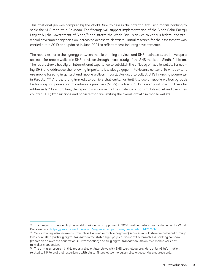This brief analysis was compiled by the World Bank to assess the potential for using mobile banking to scale the SHS market in Pakistan. The findings will support implementation of the Sindh Solar Energy Project by the Government of Sindh,<sup>16</sup> and inform the World Bank's advice to various federal and provincial government agencies on increasing access to electricity. Initial research for the assessment was carried out in 2019 and updated in June 2021 to reflect recent industry developments.

The report explores the synergy between mobile banking services and SHS businesses, and develops a use case for mobile wallets in SHS provision through a case study of the SHS market in Sindh, Pakistan. The report draws heavily on international experience to establish the efficacy of mobile wallets for scaling SHS and addresses the following important knowledge gaps in Pakistan's context: To what extent are mobile banking in general and mobile wallets in particular used to collect SHS financing payments in Pakistan?<sup>17</sup> Are there any immediate barriers that curtail or limit the use of mobile wallets by both technology companies and microfinance providers (MFPs) involved in SHS delivery and how can these be addressed?18 As a corollary, the report also documents the incidence of both mobile wallet and over-thecounter (OTC) transactions and barriers that are limiting the overall growth in mobile wallets.

<sup>&</sup>lt;sup>16</sup> This project is financed by the World Bank and was approved in 2018. Further details are available on the World Bank website. <https://projects.worldbank.org/en/projects-operations/project-detail/P159712>.

<sup>17</sup> Mobile money (also known as Branchless Banking or mobile payment) services in Pakistan are delivered through two channels; a partially digital transaction facilitated by a physical agent of the branchless banking company (known as an over the counter or OTC transaction) or a fully digital transaction known as a mobile wallet or m-wallet transaction.

<sup>&</sup>lt;sup>18</sup> The primary research in this report relies on interviews with SHS technology providers only. All information related to MFPs and their experience with digital financial technologies relies on secondary sources only.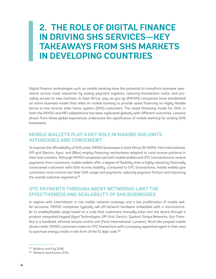# <span id="page-11-0"></span>**2. THE ROLE OF DIGITAL FINANCE IN DRIVING SHS SERVICES—KEY TAKEAWAYS FROM SHS MARKETS IN DEVELOPING COUNTRIES**

Digital finance technologies such as mobile banking have the potential to transform business operations across most industries by easing payment logistics, reducing transaction costs, and providing access to new markets. In East Africa, pay-as-you-go (PAYGO) companies have established an entire business model that relies on mobile banking to provide asset financing on highly flexible terms to low-income solar home system (SHS) customers. The asset financing model for SHS, in both the PAYGO and MFI adaptations has been replicated globally with different outcomes. Lessons drawn from these global experiences underscore the significance of mobile banking for scaling SHS businesses.

## **MOBILE WALLETS PLAY A KEY ROLE IN MAKING SHS UNITS AFFORDABLE AND CONVENIENT**

To improve the affordability of SHS units, PAYGO businesses in East Africa (M-KOPA, Felix International, Off-grid Electric, Azuri, and BBox) employ financing mechanisms adapted to rural income patterns in their host markets. Although PAYGO companies use both mobile wallets and OTC transactions to receive payments from customers, mobile wallets offer a degree of flexibility that is highly valued by financially constrained customers with little income stability. Compared to OTC transactions, mobile wallets give customers more control over their SHS usage and payments, reducing payment friction and improving the overall customer experience.<sup>19</sup>

# **OTC PAYMENTS THROUGH AGENT NETWORKS LIMIT THE EFFECTIVENESS AND SCALABILITY OF SHS BUSINESSES**

In regions with intermittent or low mobile network coverage and a low proliferation of mobile wallet accounts, PAYGO companies typically sell off-network hardware embedded with a microcontroller to enable/disable usage based on a code that customers manually enter into the device through a product-integrated keypad (Azuri Technologies, Off-Grid: Electric, Quetsol, Simpa Networks, Sun Transfer) or a handheld, infrared remote control unit (Fenix International, Lumeter). Much like prepaid mobile phone credit, PAYGO customers make an OTC transaction with a company appointed agent in their area to purchase energy credits in the form of the 12 digit code.<sup>20</sup>

<sup>&</sup>lt;sup>19</sup> Waldron and Faz 2016.

<sup>20</sup> Winiecki and Kumar 2014.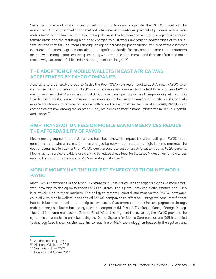<span id="page-12-0"></span>Since the off-network system does not rely on a mobile signal to operate, this PAYGO model and the associated OTC payment validation method offer several advantages, particularly in areas with a weak mobile network and low use of mobile money. However, the high cost of maintaining agent networks in remote areas and the resulting high price charged to customers are major disadvantages of this system. Beyond cost, OTC payments through an agent increase payment friction and impact the customer experience. Payment logistics can also be a significant hurdle for customers—some rural customers need to walk many kilometers every time they want to make a payment—and this can often be a major reason why customers fall behind or halt payments entirely.<sup>21, 22</sup>

# **THE ADOPTION OF MOBILE WALLETS IN EAST AFRICA WAS ACCELERATED BY PAYGO COMPANIES**

According to a Consultive Group to Assist the Poor (CGAP) survey of leading East African PAYGO solar companies, 30 to 50 percent of PAYGO customers use mobile money for the first time to access PAYGO energy services. PAYGO providers in East Africa have developed capacities to improve digital literacy in their target markets, raised consumer awareness about the use and benefits of mobile wallets, actively assisted customers to register for mobile wallets, and trained them in their use. As a result, PAYGO solar companies are now among the largest bill-pay recipients on mobile money platforms in Kenya, Uganda, and Ghana.23

# **HIGH TRANSACTION FEES ON MOBILE BANKING SERVICES REDUCE THE AFFORDABILITY OF PAYGO**

Mobile money payments are not free and have been shown to impact the affordability of PAYGO products in markets where transaction fees charged by network operators are high. In some markets, the cost of using mobile payment for PAYGO can increase the cost of an SHS system by up to 20 percent. Mobile money service providers are working to reduce these fees; for instance M-Pesa has removed fees on small transactions through its M-Pesa Kadogo Initiative.<sup>24</sup>

# **MOBILE MONEY HAS THE HIGHEST SYNERGY WITH ON-NETWORK PAYGO**

Most PAYGO companies in the fast SHS markets in East Africa use the region's extensive mobile network coverage to deploy on-network PAYGO systems. The synergy between digital finance and SHSs is relatively high in these markets. The ability to remotely control and monitor the PAYGO hardware, coupled with mobile wallets, has enabled PAYGO companies to effectively integrate consumer finance into their business models and rapidly achieve scale. Customers can make instant payments through mobile money platforms backed by telecom companies (M-Pesa, MTN Mobile Money, Orange Money, Tigo Cash) or commercial banks (MasterPass). When the payment is received by the PAYGO provider, the system is automatically unlocked using the Global System for Mobile Communications (GSM)–enabled technology (also known as the machine to machine or M2M technology) embedded in the system, and

<sup>21</sup> Waldron and Faz 2016.

<sup>22</sup> Allet and Wildberger 2018.

<sup>23</sup> Waldron and Faz 2016.

<sup>24</sup> Harrison and Adams 2017.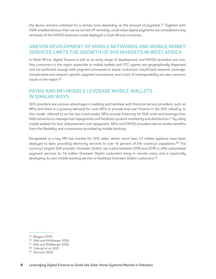<span id="page-13-0"></span>the device remains unlocked for a certain time depending on the amount of payment.<sup>25</sup> Together with GSM-enabled devices that can be turned off remotely, small value digital payments are considered a key attribute of the PAYGO business model deployed in East African countries.

### **UNEVEN DEVELOPMENT OF MOBILE NETWORKS AND MOBILE MONEY SERVICES LIMITS THE GROWTH OF SHS MARKETS IN WEST AFRICA**

In West Africa, digital finance is still at an early stage of development and PAYGO providers are rare. Few customers in the region subscribe to mobile wallets and OTC agents are geographically dispersed and not proficient enough with payment processes to assist customers. Insufficient network coverage, complicated and network-specific payment procedures, and a lack of interoperability are also common issues in the region.26

## **PAYGO AND MFI MODELS LEVERAGE MOBILE WALLETS IN SIMILAR WAYS**

SHS providers see various advantages in building partnerships with financial service providers, such as MFIs and there is a growing demand for rural MFIs to provide end-user finance in the SHS industry. In this model, referred to as the two-hand model, MFIs provide financing for SHS units and leverage their field networks to manage loan repayments and facilitate product marketing and distribution.<sup>27</sup> By using mobile wallets for loan disbursement and repayment, MFIs and PAYGO providers derive similar benefits from the flexibility and convenience provided by mobile banking.

Bangladesh is a key MFI-led market for SHS sales, where more than 4.1 million systems have been deployed to date, providing electricity services to over 14 percent of the country's population.<sup>28</sup> The country's largest SHS provider, Grameen Shakti, ran a pilot between 2016 and 2018 to offer automated payment services to 1.6 million Grameen Shakti customers living in remote areas and is reportedly developing its own mobile banking service to facilitate Grameen Shakti customers.29

<sup>25</sup> Mazzoni 2019.

<sup>26</sup> Allet and Wildberger 2018.

<sup>27</sup> Allet and Wildberger 2018.

<sup>28</sup> Cabraal et al. 2021.

<sup>29</sup> Khanam 2020.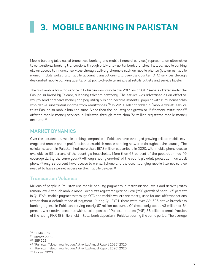# <span id="page-14-0"></span>**3. MOBILE BANKING IN PAKISTAN**

Mobile banking (also called branchless banking and mobile financial services) represents an alternative to conventional banking transactions through brick-and-mortar bank branches. Instead, mobile banking allows access to financial services through delivery channels such as mobile phones (known as mobile money, mobile wallet, and mobile account transactions) and over-the-counter (OTC) services through designated mobile banking agents, or at point-of-sale terminals at retails outlets and service kiosks.

The first mobile banking service in Pakistan was launched in 2009 as an OTC service offered under the Easypaisa brand by Telenor, a leading telecom company. The service was advertised as an effective way to send or receive money and pay utility bills and became instantly popular with rural households who derive substantial income from remittances.<sup>30</sup> In 2010, Telenor added a "mobile wallet" service to its Easypaisa mobile banking suite. Since then the industry has grown to 15 financial institutions $31$ offering mobile money services in Pakistan through more than 72 million registered mobile money accounts.32

### **MARKET DYNAMICS**

Over the last decade, mobile banking companies in Pakistan have leveraged growing cellular mobile coverage and mobile phone proliferation to establish mobile banking networks throughout the country. The cellular network in Pakistan had more than 167.3 million subscribers in 2020, with mobile phone access available to 95 percent of the country's households. More than 68 percent of the population had 4G coverage during the same year.<sup>33</sup> Although nearly one-half of the country's adult population has a cell phone,<sup>34</sup> only 38 percent have access to a smartphone and the accompanying mobile internet service needed to have internet access on their mobile devices.35

### **Transaction Volumes**

Millions of people in Pakistan use mobile banking payments, but transaction levels and activity rates remain low. Although mobile money accounts registered year on year (YoY) growth of nearly 25 percent in Q1, FY21, mobile payments through OTC and mobile wallets are mostly used for one-off transactions rather than a default mode of payment. During Q1, FY21, there were over 221,525 active branchless banking agents in Pakistan serving nearly 67 million accounts. Of these, only about 43 million or 64 percent were active accounts with total deposits of Pakistan rupees (PKR) 56 billion, a small fraction of the nearly PKR 18 trillion held in total bank deposits in Pakistan during the same period. The average

<sup>30</sup> GSMA 2017.

<sup>31</sup> Hassan 2020.

<sup>32</sup> SBP 2021.

<sup>33</sup> "Pakistan Telecommunication Authority Annual Report 2020" 2020. 34 "Pakistan Telecommunication Authority Annual Report 2020" 2020.

<sup>35</sup> Hassan 2020.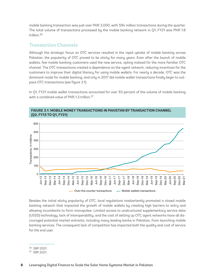<span id="page-15-0"></span>mobile banking transaction was just over PKR 3,000, with 594 million transactions during the quarter. The total volume of transactions processed by the mobile banking network in Q1, FY21 was PKR 1.8 trillion.36

### **Transaction Channels**

Although the strategic focus on OTC services resulted in the rapid uptake of mobile banking across Pakistan, the popularity of OTC proved to be sticky for many years. Even after the launch of mobile wallets, few mobile banking customers used the new service, opting instead for the more familiar OTC channel. The OTC transactions created a dependence on the agent network, reducing incentives for the customers to improve their digital literacy for using mobile wallets. For nearly a decade, OTC was the dominant mode for mobile banking, and only in 2017 did mobile wallet transactions finally begin to outpace OTC transactions (see figure 3.1).

In Q1, FY21 mobile wallet transactions accounted for over 93 percent of the volume of mobile banking with a combined value of PKR 1.3 trillion.<sup>37</sup>



**FIGURE 3.1: MOBILE MONEY TRANSACTIONS IN PAKISTAN BY TRANSACTION CHANNEL (Q2, FY13 TO Q1, FY21)**

Besides the initial sticky popularity of OTC, local regulations inadvertently promoted a closed mobile banking network that impacted the growth of mobile wallets by creating high barriers to entry and allowing incumbents to form monopolies. Limited access to unstructured supplementary service data (USSD) technology, lack of interoperability, and the cost of setting up OTC agent networks have all discouraged potential market entrants, including many leading banks in Pakistan, from launching mobile banking services. The consequent lack of competition has impacted both the quality and cost of service for the end user.

<sup>36</sup> SBP 2021.

<sup>37</sup> SBP 2021.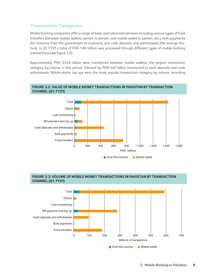# <span id="page-16-0"></span>**Transaction Categories**

Mobile banking companies offer a range of basic and advanced services, including various types of fund transfers (between mobile wallets, person to person, and mobile wallet to person, etc.), bulk payments (for instance from the government to a person), and cash deposits and withdrawals (the savings feature). In Q1, FY21 a total of PKR 1.86 trillion was processed through different types of mobile banking transactions (see figure 3.2).

Approximately PKR 533.6 billion were transferred between mobile wallets, the largest transaction category by volume in this period, followed by PKR 445 billion transacted in cash deposits and cash withdrawals. Mobile phone top ups were the most popular transaction category by volume, recording



#### **FIGURE 3.2: VALUE OF MOBILE MONEY TRANSACTIONS IN PAKISTAN BY TRANSACTION CHANNEL (Q1, FY21)**

#### **FIGURE 3.3: VOLUME OF MOBILE MONEY TRANSACTIONS IN PAKISTAN BY TRANSACTION CHANNEL (Q1, FY21)**

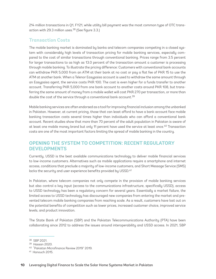<span id="page-17-0"></span>214 million transactions in Q1, FY21, while utility bill payment was the most common type of OTC transaction with 29.3 million uses.38 (See figure 3.3.)

## **Transaction Costs**

The mobile banking market is dominated by banks and telecom companies competing in a closed system with considerably high levels of transaction pricing for mobile banking services, especially compared to the cost of similar transactions through conventional banking. Prices range from 3.5 percent for larger transactions to as high as 13.0 percent of the transaction amount a customer is processing through mobile banking. To illustrate the pricing difference: Customers with conventional bank accounts can withdraw PKR 5,000 from an ATM at their bank at no cost or pay a flat fee of PKR 15 to use the ATM at another bank. When a Telenor Easypaisa account is used to withdraw the same amount through an Easypaisa agent, the service costs PKR 100. The cost is even higher for a funds transfer to another account. Transferring PKR 5,000 from one bank account to another costs around PKR 108, but transferring the same amount of money from a mobile wallet will cost PKR 270 per transaction, or more than double the cost of the service through a conventional bank account.<sup>39</sup>

Mobile banking services are often endorsed as a tool for improving financial inclusion among the unbanked in Pakistan. However, at current pricing, those that can least afford to have a bank account face mobile banking transaction costs several times higher than individuals who can afford a conventional bank account. Recent studies show that more than 70 percent of the adult population in Pakistan is aware of at least one mobile money brand but only 11 percent have used the service at least once.40 Transaction costs are one of the most important factors limiting the spread of mobile banking in the country.

# **OPENING THE SYSTEM TO COMPETITION: RECENT REGULATORY DEVELOPMENTS**

Currently, USSD is the best available communications technology to deliver mobile financial services to low-income customers. Alternatives such as mobile applications require a smartphone and internet access, conditions that preclude a majority of low-income customers, and Short Message Service (SMS) lacks the security and user experience benefits provided by USSD.<sup>41</sup>

In Pakistan, where telecom companies not only compete in the provision of mobile banking services but also control a key input (access to the communications infrastructure, specifically USSD), access to USSD technology has been a regulatory concern for several years. Essentially a market failure, the limited access to USSD technology has discouraged new companies from entering the market and prevented telecom mobile banking companies from reaching scale. As a result, customers have lost out on the potential benefits of competition such as lower prices, increased customer choice, improved service levels, and product innovation.

The State Bank of Pakistan (SBP) and the Pakistan Telecommunications Authority (PTA) have been collaborating since 2012 to address the issues around interoperability and USSD access. In 2021, SBP

<sup>38</sup> SBP 2021.

<sup>39</sup> Hassan 2020.

<sup>40</sup> "Pakistan Microfinance Review 2019" 2019.

<sup>41</sup> Hanouch 2015.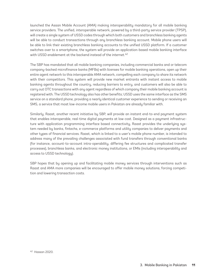launched the Asaan Mobile Account (AMA) making interoperability mandatory for all mobile banking service providers. The unified, interoperable network, powered by a third-party service provider (TPSP), will create a single system of USSD codes through which both customers and branchless banking agents will be able to conduct transactions through any branchless banking account. Mobile phone users will be able to link their existing branchless banking accounts to the unified USSD platform. If a customer switches over to a smartphone, the system will provide an application-based mobile banking interface with USSD enablement at the backend instead of the internet.<sup>42</sup>

The SBP has mandated that all mobile banking companies, including commercial banks and or telecom company-backed microfinance banks (MFBs) with licenses for mobile banking operations, open up their entire agent network to this interoperable AMA network, compelling each company to share its network with their competitors. This system will provide new market entrants with instant access to mobile banking agents throughout the country, reducing barriers to entry, and customers will also be able to carry out OTC transactions with any agent regardless of which company their mobile banking account is registered with. The USSD technology also has other benefits; USSD uses the same interface as the SMS service on a standard phone, providing a nearly identical customer experience to sending or receiving an SMS, a service that most low-income mobile users in Pakistan are already familiar with.

Similarly, Raast, another recent initiative by SBP, will provide an instant end-to-end payment system that enables interoperable, real-time digital payments at low cost. Designed as a payment infrastructure with application programming interface based connectivity, Raast provides the underlying system needed by banks, fintechs, e-commerce platforms and utility companies to deliver payments and other types of financial services. Raast, which is linked to a user's mobile phone number, is intended to address many of the prevailing challenges associated with fund transfers through conventional banks (for instance, account-to-account intra-operability, differing fee structures and complicated transfer processes), branchless banks, and electronic money institutions, or EMIs (including interoperability and access to USSD technology).

SBP hopes that by opening up and facilitating mobile money services through interventions such as Raast and AMA more companies will be encouraged to offer mobile money solutions, forcing competition and lowering transaction costs.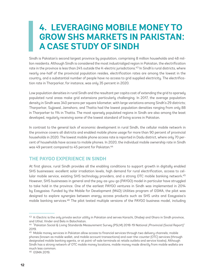# <span id="page-19-0"></span>**4. LEVERAGING MOBILE MONEY TO GROW SHS MARKETS IN PAKISTAN: A CASE STUDY OF SINDH**

Sindh is Pakistan's second largest province by population, comprising 8 million households and 48 million residents. Although Sindh is considered the most industrialized region in Pakistan, the electrification rate in the province is less than 24% outside the K-electric jurisdictions.<sup>43</sup> In Sindh's rural districts, where nearly one-half of the provincial population resides, electrification rates are among the lowest in the country, and a substantial number of people have no access to grid supplied electricity. The electrification rate in Tharparkar, for instance, was only 35 percent in 2020.

Low population densities in rural Sindh and the resultant per capita cost of extending the grid to sparsely populated rural areas make grid extensions particularly challenging. In 2017, the average population density in Sindh was 340 persons per square kilometer, with large variations among Sindh's 29 districts; Tharparkar, Sujjawal, Jamshoro, and Thatta had the lowest population densities ranging from only 88 in Tharparker to 114 in Thatta. The most sparsely populated regions in Sindh are also among the least developed, regularly receiving some of the lowest standard of living scores in Pakistan.

In contrast to the general lack of economic development in rural Sindh, the cellular mobile network in the province covers all districts and enabled mobile phone usage for more than 90 percent of provincial households in 2020. The lowest mobile phone access rate is reported in Dadu district, where only 70 percent of households have access to mobile phones. In 2020, the individual mobile ownership rate in Sindh was 49 percent compared to 45 percent for Pakistan.44

## **THE PAYGO EXPERIENCE IN SINDH**

At first glance, rural Sindh provides all the enabling conditions to support growth in digitally enabled SHS businesses: excellent solar irradiation levels, high demand for rural electrification, access to cellular mobile service, existing SHS technology providers, and a strong OTC mobile banking network.<sup>45</sup> However, SHS businesses in general and the pay-as-you-go (PAYGO) model in particular have struggled to take hold in the province. One of the earliest PAYGO ventures in Sindh was implemented in 2014 by Easypaisa. Funded by the Mobile for Development (M4D) Utilities program of GSMA, the pilot was designed to explore synergies between energy access products such as SHS units and Easypaisa's mobile banking services.46 The pilot tested multiple versions of the PAYGO business model, including

<sup>43</sup> K-Electric is the only private sector utility in Pakistan and serves Karachi, Dhabeji and Gharo in Sindh province, and Uthal, Vinder and Bela in Balochistan.

<sup>44</sup> "Pakistan Social & Living Standards Measurement Survey (PSLM) 2018-19 National /Provincial (Social Report)" 2019.

<sup>45</sup> Mobile money services in Pakistan allow access to financial services through two delivery channels; mobile phones (known as mobile wallet, and mobile account transactions) and over-the-counter (OTC) services (through designated mobile banking agents, or at point-of-sale terminals at retails outlets and service kiosks). Although Sindh has a strong network of OTC mobile money locations, mobile money made directly from mobile wallets are much less common.

<sup>46</sup> GSMA 2019.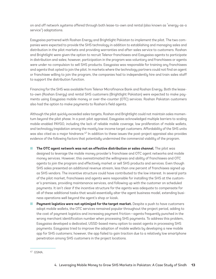on and off network systems offered through both lease-to-own and rental (also known as "energy-as-a service") adaptations.

Easypaisa partnered with Roshan Energy and Brightlight Pakistan to implement the pilot. The two companies were expected to provide the SHS technology in addition to establishing and managing sales and distribution in the pilot markets and providing warranties and after-sales service to customers. Roshan and Brightlight were given the option to recruit Telenor franchisees and Easypaisa agents to participate in distribution and sales; however, participation in the program was voluntary and franchisees or agents were under no compulsion to sell SHS products. Easypaisa was responsible for training any franchisees and agents that opted to join the pilot. In markets where the technology partners could not find an agent or franchisee willing to join the program, the companies had to independently hire and train sales staff to support the distribution function.

Financing for the SHS was available from Telenor Microfinance Bank and Roshan Energy. Both the leaseto-own (Roshan Energy) and rental SHS customers (Brightlight Pakistan) were expected to make payments using Easypaisa mobile money or over-the-counter (OTC) services. Roshan Pakistan customers also had the option to make payments to Roshan's field agents.

Although the pilot quickly exceeded sales targets, Roshan and Brightlight could not maintain sales momentum beyond the pilot phase. In a post-pilot appraisal, Easypaisa acknowledged multiple barriers to scaling mobile-enabled PAYGO, including the lack of reliable mobile coverage, low proliferation of mobile wallets, and technology trepidation among the mostly low-income target customers. Affordability of the SHS units was also cited as a major hindrance.<sup>47</sup> In addition to these issues the post-project appraisal also provides evidence of the following factors that potentially undermined the commercial viability of the program.

- **The OTC agent network was not an effective distribution or sales channel.** The pilot was designed to leverage the mobile money provider's franchisee and OTC agent networks and mobile money services. However, this overestimated the willingness and ability of franchisees and OTC agents to join the program and effectively market or sell SHS products and services. Even though SHS sales presented an additional revenue stream, less than one percent of franchisees signed up as SHS vendors. The incentive structure could have contributed to the low interest. In several parts of the pilot market, franchisees and agents were responsible for installing the SHS at the customer's premises, providing maintenance services, and following up with the customer on scheduled payments. It isn't clear if the incentive structure for the agents was adequate to compensate for all of these additional tasks that would essentially alter the agent business model, extending business operations well beyond the agent's shop or kiosk.
- **Payment logistics were not optimized for the target market.** Despite a push to have customers adopt mobile wallets, the OTC services remained popular throughout the project period, adding to the cost of payment logistics and increasing payment friction—agents frequently punched in the wrong merchant identification number when processing SHS payments. To address this problem, Easypaisa developed a dedicated, USSD-based menu option to assist agents in processing SHS payments. Easypaisa tried to improve the adoption of mobile wallets by developing a new mobile app for SHS customers; however, the app failed to gain traction due to a relatively low smartphone penetration among SHS customers in the project locations.

<sup>47</sup> GSMA.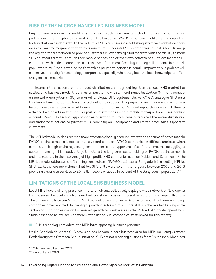# <span id="page-21-0"></span>**RISE OF THE MICROFINANCE LED BUSINESS MODEL**

Beyond weaknesses in the enabling environment such as a general lack of financial literacy and low proliferation of smartphones in rural Sindh, the Easypaisa PAYGO experience highlights two important factors that are fundamental to the viability of SHS businesses: establishing effective distribution channels and keeping payment friction to a minimum. Successful SHS companies in East Africa leverage the region's mobile network to provide customers in low density rural markets with the facility to make SHS payments directly through their mobile phones and at their own convenience. For low-income SHS customers with little income stability, this level of payment flexibility is a key selling point. In sparsely populated rural Sindh, establishing frictionless payment logistics is equally important but prohibitively expensive, and risky for technology companies, especially when they lack the local knowledge to effectively assess credit risk.

To circumvent the issues around product distribution and payment logistics, the local SHS market has settled on a business model that relies on partnering with a microfinance institution (MFI) or a nongovernmental organization (NGO) to market analogue SHS systems. Unlike PAYGO, analogue SHS units function offline and do not have the technology to support the prepaid energy payment mechanism. Instead, customers receive asset financing through the partner MFI and repay the loan in installments either to field agents or through a digital payment made using a mobile money or branchless banking account. Most SHS technology companies operating in Sindh have outsourced the entire distribution and financing functions to partner MFIs, providing only equipment and limited after-sales support to customers.

The MFI-led model is also receiving more attention globally because integrating consumer finance into the PAYGO business makes it capital intensive and complex. PAYGO companies in difficult markets, where competition is high or the regulatory environment is not supportive, often find themselves struggling to access financing. This disadvantage threatens the long-term sustainability of PAYGO business models and has resulted in the insolvency of high-profile SHS companies such as Mobisol and Solarkiosk.48 The MFI-led model addresses the financing constraints of PAYGO businesses. Bangladesh is a leading MFI-led SHS market where more than 4.1 million SHS units were sold in the 15 years between 2003 and 2018, providing electricity services to 20 million people or about 14 percent of the Bangladesh population.49

## **LIMITATIONS OF THE LOCAL SHS BUSINESS MODEL**

Local MFIs have a strong presence in rural Sindh and collectively deploy a wide network of field agents that possess the local knowledge and relationships to assist in credit scoring and manage collections. The partnership between MFIs and SHS technology companies in Sindh is proving effective—technology companies have reported double digit growth in sales—but SHS are still a niche market lacking scale. Technology companies assign low market growth to weaknesses in the MFI-led SHS model operating in Sindh described below (see Appendix A for a list of SHS companies interviewed for this report):

SHS technology providers and MFIs have opposing business priorities

Unlike Bangladesh, where SHS provision has become a core business area for MFIs, including Grameen Bank through the Grameen Shakti initiative, SHS are not a priority business for MFIs in Sindh. Most local

<sup>48</sup> Wiemann and Lecoque 2019.

<sup>49</sup> Cabraal et al. 2021.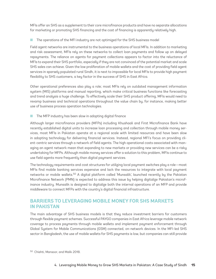<span id="page-22-0"></span>MFIs offer an SHS as a supplement to their core microfinance products and have no separate allocations for marketing or promoting SHS financing and the cost of financing is apparently relatively high.

The operations of the MFI industry are not optimized for the SHS business model

Field agent networks are instrumental to the business operations of local MFIs. In addition to marketing and risk assessment, MFIs rely on these networks to collect loan payments and follow up on delayed repayments. The reliance on agents for payment collections appears to factor into the reluctance of MFIs to expand their SHS portfolio, especially if they are not convinced of the potential market and scale SHS sales can achieve. Given the low proliferation of mobile wallets and the cost of providing field agent services in sparsely populated rural Sindh, it is next to impossible for local MFIs to provide high payment flexibility to SHS customers, a key factor in the success of SHS in East Africa.

Other operational preferences also play a role; most MFIs rely on outdated management information system (MIS) platforms and manual reporting, which make critical business functions like forecasting and trend analysis a huge challenge. To effectively scale their SHS product offering, MFIs would need to revamp business and technical operations throughout the value chain by, for instance, making better use of business process operation technologies.

The MFP industry has been slow in adopting digital finance

Although larger microfinance providers (MFPs) including Khushaali and First Microfinance Bank have recently established digital units to increase loan processing and collection through mobile money services, most MFIs in Pakistan operate at a regional scale with limited resources and have been slow in adopting technology for delivering financial services. Instead, regional MFI's focus on providing client-centric services through a network of field agents. The high operational costs associated with managing an agent network mean that expanding to new markets or providing new services can be a risky undertaking for MFPs. Although mobile money services offer a solution to this problem, MFIs continue to use field agents more frequently than digital payment services.

The technology requirements and cost structures for utilizing local payment switches play a role—most MFIs find mobile banking services expensive and lack the resources to integrate with local payment networks or mobile wallets.50 A digital platform called 'Munsalik', launched recently by the Pakistan Microfinance Network (PMN) is expected to address this issue by helping digitalize Pakistan's microfinance industry. Munsalik is designed to digitalize both the internal operations of an MFP and provide middleware to connect MFPs with the country's digital financial infrastructure.

# **BARRIERS TO LEVERAGING MOBILE MONEY FOR SHS MARKETS IN PAKISTAN**

The main advantage of SHS business models is that they reduce investment barriers for customers through flexible payment schemes. Successful PAYGO companies in East Africa leverage mobile network coverage to process payments through mobile wallets and implement payment enforcement through Global System for Mobile Communications (GSM) connected, on-network devices. In the MFI-led SHS sector in Bangladesh, the use of mobile wallets for SHS payments is low, but companies can still provide

<sup>50</sup> Chishti, Mansoor, and Malik 2018.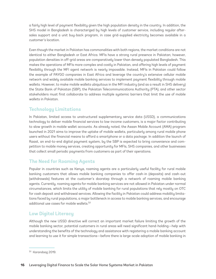a fairly high level of payment flexibility given the high population density in the country. In addition, the SHS model in Bangladesh is characterized by high levels of customer service, including regular aftersales support and a unit buy-back program, in case grid-supplied electricity becomes available in a customer's location.

Even though the market in Pakistan has commonalities with both regions, the market conditions are not identical to either Bangladesh or East Africa. MFIs have a strong rural presence in Pakistan; however, population densities in off-grid areas are comparatively lower than densely populated Bangladesh. This makes the operations of MFIs more complex and costly in Pakistan, and offering high levels of payment flexibility through the MFI agent network is nearly impossible. Instead, MFIs in Pakistan could follow the example of PAYGO companies in East Africa and leverage the country's extensive cellular mobile network and widely available mobile banking services to implement payment flexibility through mobile wallets. However, to make mobile wallets ubiquitous in the MFI industry (and as a result in SHS delivery) the State Bank of Pakistan (SBP), the Pakistan Telecommunications Authority (PTA), and other sector stakeholders must first collaborate to address multiple systemic barriers that limit the use of mobile wallets in Pakistan.

# **Technology Limitations**

In Pakistan, limited access to unstructured supplementary service data (USSD), a communications technology to deliver mobile financial services to low-income customers, is a major factor contributing to slow growth in mobile wallet accounts. As already noted, the Asaan Mobile Account (AMA) program launched in 2021 aims to improve the uptake of mobile wallets, particularly among rural mobile phone users without the financial means to afford a smartphone or a data package. In addition the launch of Raast, an end-to-end digital payment system, by the SBP is expected to bring convenience and competition to mobile money services, creating opportunity for MFIs, SHS companies, and other businesses that collect small periodic payments from customers as part of their operations.

# **The Need for Roaming Agents**

Popular in countries such as Kenya, roaming agents are a particularly useful facility for rural mobile banking customers that allows mobile banking companies to offer cash-in (deposits) and cash-out (withdrawals) features at the customer's doorstep through a network of roaming mobile banking agents. Currently, roaming agents for mobile banking services are not allowed in Pakistan under normal circumstances, which limits the utility of mobile banking for rural populations that rely mostly on OTC for cash deposit and withdrawal services. Allowing the facility in Pakistan could address mobility limitations faced by rural populations, a major bottleneck in access to mobile banking services, and encourage additional use cases for mobile wallets.51

# **Low Digital Literacy**

Although the new USSD directive will correct an important market failure limiting the growth of the mobile banking sector, potential customers in rural areas will need significant hand-holding—help with understanding the benefits of the technology and assistance with registering a mobile banking account and learning to use it for simple transactions—before there is large-scale adoption of mobile banking in

<sup>51</sup> Karandaaz 2019.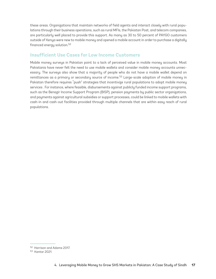these areas. Organizations that maintain networks of field agents and interact closely with rural populations through their business operations, such as rural MFIs, the Pakistan Post, and telecom companies, are particularly well placed to provide this support. As many as 30 to 50 percent of PAYGO customers outside of Kenya were new to mobile money and opened a mobile account in order to purchase a digitally financed energy solution.52

# **Insufficient Use Cases for Low Income Customers**

Mobile money surveys in Pakistan point to a lack of perceived value in mobile money accounts. Most Pakistanis have never felt the need to use mobile wallets and consider mobile money accounts unnecessary. The surveys also show that a majority of people who do not have a mobile wallet depend on remittances as a primary or secondary source of income.<sup>53</sup> Large-scale adoption of mobile money in Pakistan therefore requires "push" strategies that incentivize rural populations to adopt mobile money services . For instance, where feasible, disbursements against publicly funded income support programs, such as the Benazir Income Support Program (BISP), pension payments by public sector organizations, and payments against agricultural subsidies or support processes, could be linked to mobile wallets with cash-in and cash-out facilities provided through multiple channels that are within easy reach of rural populations.

<sup>52</sup> Harrison and Adams 2017.

<sup>53</sup> Kantar 2021.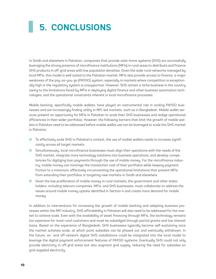# <span id="page-25-0"></span>**5. CONCLUSIONS**

In Sindh and elsewhere in Pakistan, companies that provide solar home systems (SHS) are successfully leveraging the strong presence of microfinance institutions (MFIs) in rural areas to distribute and finance SHS products in off-grid areas with low population densities. Given the wide rural networks managed by local MFIs, this model is well suited to the Pakistan market. MFIs also provide access to finance, a major weakness of the pay-as-you-go (PAYGO) system, especially in markets where competition is exceptionally high or the regulatory system is unsupportive. However, SHS remain a niche business in the country owing to the limitations faced by MFIs in deploying digital finance and other business automation technologies, and the operational constraints inherent in local microfinance processes.

Mobile banking, specifically mobile wallets, have played an instrumental role in scaling PAYGO businesses and are increasingly finding utility in MFI-led markets, such as in Bangladesh. Mobile wallet services present an opportunity for MFIs in Pakistan to scale their SHS businesses and realize operational efficiencies in their wider portfolios. However, the following barriers that limit the growth of mobile wallets in Pakistan need to be addressed before mobile wallet use can be leveraged to scale the SHS market in Pakistan:

- To effectively scale SHS in Pakistan's context, the use of mobile wallets needs to increase significantly across all target markets.
- Simultaneously, local microfinance businesses must align their operations with the needs of the SHS market, integrate more technology solutions into business operations, and develop competencies for digitizing loan payments through the use of mobile money. For the microfinance industry, mobile money can minimize the transaction cost of their portfolios while keeping payment friction to a minimum, effectively circumventing the operational limitations that prevent MFIs from extending their portfolios or targeting new markets in Sindh and elsewhere.
- Given the low proliferation of mobile money in rural markets, the government and other stakeholders, including telecom companies, MFIs, and SHS businesses, must collaborate to address the issues around mobile money uptake identified in Section 4 and create more demand for mobile money.

In addition to interventions for increasing the growth of mobile banking and adapting business processes within the MFI industry, SHS affordability in Pakistan will also need to be addressed for the market to achieve scale. Even with the availability of asset financing through MFIs, the technology remains too expensive for most rural customers and must be subsidized through partial grants and low interest loans. Based on the experience of Bangladesh, SHS businesses typically become self-sustaining once the market achieves scale, at which point subsidies can be phased out and eventually withdrawn. In the future, on- and off-network digital SHS installations could be integrated into the local model to leverage the digital payment enforcement features of PAYGO systems. Eventually SHS could not only provide electricity in off-grid areas but also augment grid supply, reducing the need for subsidies on grid-supplied electricity.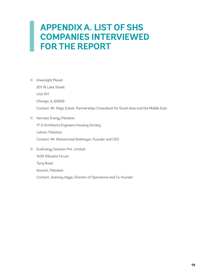# <span id="page-26-0"></span>**APPENDIX A. LIST OF SHS COMPANIES INTERVIEWED FOR THE REPORT**

■ Greenlight Planet 201 W Lake Street Unit 101 Chicago, IL 60606 Contact: Mr. Raza Zubair, Partnerships Consultant for South Asia and the Middle East ■ Harness Energy Pakistan 17-D Architects Engineers Housing Society Lahore, Pakistan Contact: Mr. Muhammad Shehreyar, Founder and CEO ■ EcoEnergy Solution Pvt. Limited 1405 Dilkusha Forum Tariq Road Karachi, Pakistan Contact: Jeremey Higgs, Director of Operations and Co-founder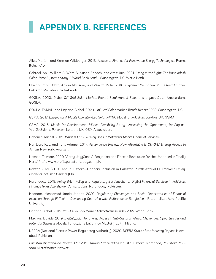# <span id="page-27-0"></span>**APPENDIX B. REFERENCES**

Allet, Marion, and Kerman Wildberger. 2018. *Access to Finance for Renewable Energy Technologies.* Rome, Italy: IFAD.

Cabraal, Anil, William A. Ward, V. Susan Bogach, and Amit Jain. 2021. *Living in the Light: The Bangladesh Solar Home Systems Story. A World Bank Study.* Washington, DC: World Bank.

Chishti, Imad Uddin, Ahsan Mansoor, and Wasim Malik. 2018. *Digitizing Microfinance: The Next Frontier.* Pakistan Microfinance Network.

GOGLA. 2020. *Global Off-Grid Solar Market Report Semi-Annual Sales and Impact Data.* Amsterdam: GOGLA.

GOGLA, ESMAP, and Lighting Global. 2020. *Off-Grid Solar Market Trends Report 2020.* Washington, DC.

GSMA. 2017. *Easypaisa: A Mobile Operator-Led Solar PAYGO Model for Pakistan.* London, UK: GSMA.

GSMA. 2016. *Mobile for Development Utilities. Feasibility Study—Assessing the Opportunity for Pay-as-You-Go Solar in Pakistan.* London, UK: GSM Association.

Hanouch, Michel. 2015. *What Is USSD & Why Does It Matter for Mobile Financial Services?*

Harrison, Kat, and Tom Adams. 2017. *An Evidence Review: How Affordable Is Off-Grid Energy Access in Africa?* New York: Acumen.

Hassan, Taimoor. 2020. "Sorry, JazzCash & Easypaisa; the Fintech Revolution for the Unbanked Is Finally Here." *Profit*. www.profit.pakistantoday.com.pk.

Kantar. 2021. "2020 Annual Report—Financial Inclusion in Pakistan." Sixth Annual FII Tracker Survey. *Financial Inclusion Insights* (FII).

Karandaaz. 2019. *Policy Brief: Policy and Regulatory Bottlenecks for Digital Financial Services in Pakistan. Findings from Stakeholder Consultations.* Karandaaz, Pakistan.

Khanam, Mossamad Jamia Jannat. 2020. *Regulatory Challenges and Social Opportunities of Financial Inclusion through FinTech in Developing Countries with Reference to Bangladesh.* Ritsumeikan Asia Pacific University.

Lighting Global. 2019. *Pay-As-You-Go Market Attractiveness Index 2019.* World Bank.

Mazzoni, Davide. 2019. *Digitalization for Energy Access in Sub-Saharan Africa: Challenges, Opportunities and Potential Business Models.* Fondazione Eni Enrico Mattei (FEEM), Milano.

NEPRA (National Electric Power Regulatory Authority). 2020. *NEPRA State of the Industry Report.* Islamabad, Pakistan.

*Pakistan Microfinance Review 2019.* 2019. Annual State of the Industry Report. Islamabad, Pakistan: Pakistan Microfinance Network.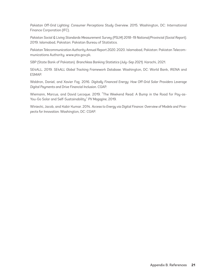*Pakistan Off-Grid Lighting: Consumer Perceptions Study Overview.* 2015. Washington, DC: International Finance Corporation (IFC).

*Pakistan Social & Living Standards Measurement Survey (PSLM) 2018–19 National/Provincial (Social Report).* 2019. Islamabad, Pakistan: Pakistan Bureau of Statistics.

*Pakistan Telecommunication Authority Annual Report 2020.* 2020. Islamabad, Pakistan: Pakistan Telecommunications Authority. www.pta.gov.pk.

SBP (State Bank of Pakistan). *Branchless Banking Statistics (July–Sep 2021).* Karachi, 2021.

SE4ALL. 2019. *SE4ALL Global Tracking Framework Database.* Washington, DC: World Bank, IRENA and ESMAP.

Waldron, Daniel, and Xavier Faz. 2016. *Digitally Financed Energy: How Off-Grid Solar Providers Leverage Digital Payments and Drive Financial Inclusion.* CGAP.

Wiemann, Marcus, and David Lecoque. 2019. "The Weekend Read: A Bump in the Road for Pay-as-You-Go Solar and Self-Sustainability." *PV Magazine*, 2019.

Winiecki, Jacob, and Kabir Kumar. 2014. *Access to Energy via Digital Finance: Overview of Models and Prospects for Innovation.* Washington, DC: CGAP.